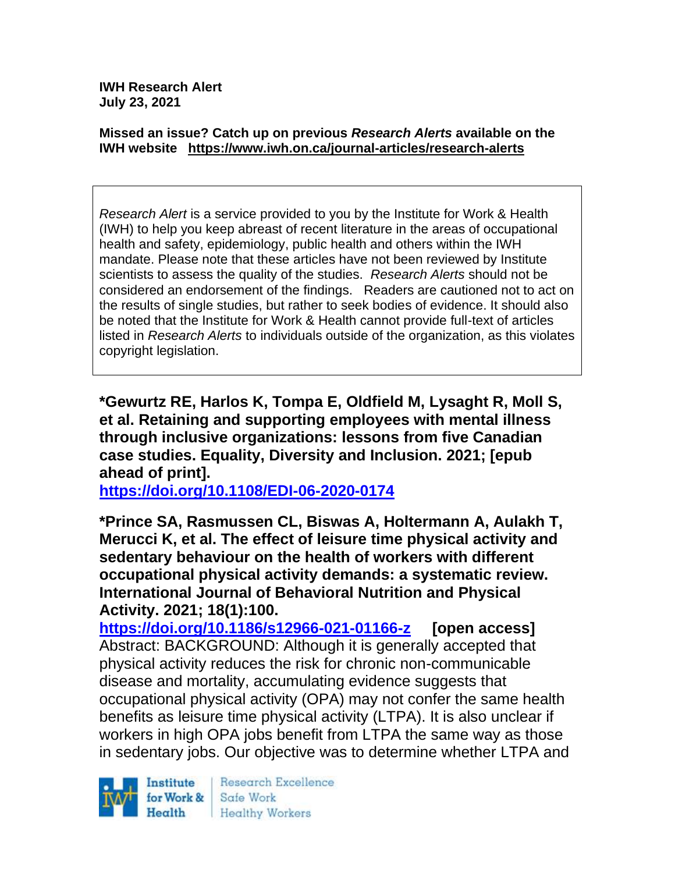**IWH Research Alert July 23, 2021**

#### **Missed an issue? Catch up on previous** *Research Alerts* **available on the [IWH website](http://www.iwh.on.ca/research-alerts) <https://www.iwh.on.ca/journal-articles/research-alerts>**

*Research Alert* is a service provided to you by the Institute for Work & Health (IWH) to help you keep abreast of recent literature in the areas of occupational health and safety, epidemiology, public health and others within the IWH mandate. Please note that these articles have not been reviewed by Institute scientists to assess the quality of the studies. *Research Alerts* should not be considered an endorsement of the findings. Readers are cautioned not to act on the results of single studies, but rather to seek bodies of evidence. It should also be noted that the Institute for Work & Health cannot provide full-text of articles listed in *Research Alerts* to individuals outside of the organization, as this violates copyright legislation.

**\*Gewurtz RE, Harlos K, Tompa E, Oldfield M, Lysaght R, Moll S, et al. Retaining and supporting employees with mental illness through inclusive organizations: lessons from five Canadian case studies. Equality, Diversity and Inclusion. 2021; [epub ahead of print].**

**<https://doi.org/10.1108/EDI-06-2020-0174>** 

**\*Prince SA, Rasmussen CL, Biswas A, Holtermann A, Aulakh T, Merucci K, et al. The effect of leisure time physical activity and sedentary behaviour on the health of workers with different occupational physical activity demands: a systematic review. International Journal of Behavioral Nutrition and Physical Activity. 2021; 18(1):100.**

**<https://doi.org/10.1186/s12966-021-01166-z> [open access]** Abstract: BACKGROUND: Although it is generally accepted that physical activity reduces the risk for chronic non-communicable disease and mortality, accumulating evidence suggests that occupational physical activity (OPA) may not confer the same health benefits as leisure time physical activity (LTPA). It is also unclear if workers in high OPA jobs benefit from LTPA the same way as those in sedentary jobs. Our objective was to determine whether LTPA and

Institute for Work & Health

Research Excellence Safe Work **Healthy Workers**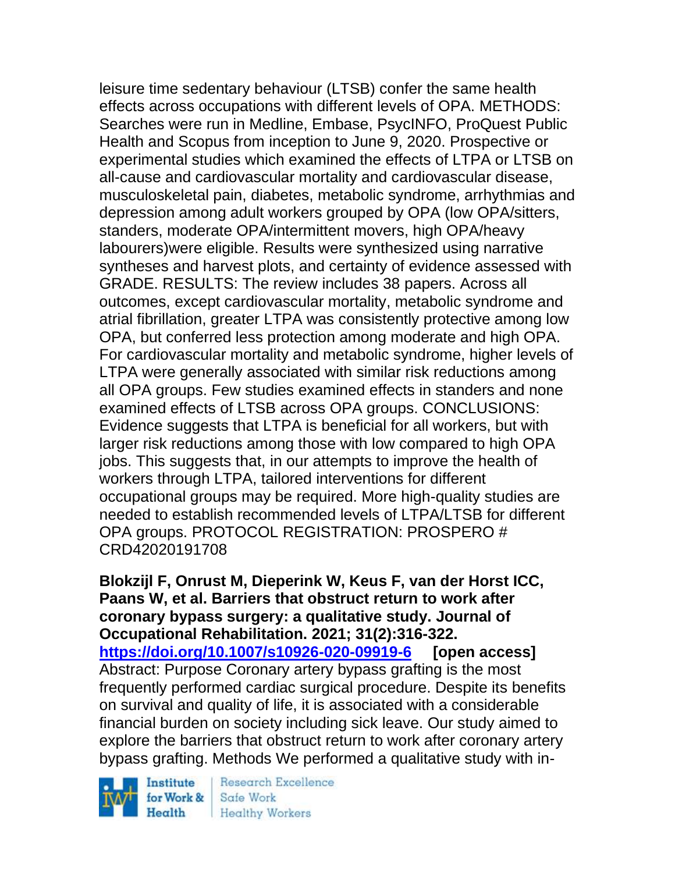leisure time sedentary behaviour (LTSB) confer the same health effects across occupations with different levels of OPA. METHODS: Searches were run in Medline, Embase, PsycINFO, ProQuest Public Health and Scopus from inception to June 9, 2020. Prospective or experimental studies which examined the effects of LTPA or LTSB on all-cause and cardiovascular mortality and cardiovascular disease, musculoskeletal pain, diabetes, metabolic syndrome, arrhythmias and depression among adult workers grouped by OPA (low OPA/sitters, standers, moderate OPA/intermittent movers, high OPA/heavy labourers)were eligible. Results were synthesized using narrative syntheses and harvest plots, and certainty of evidence assessed with GRADE. RESULTS: The review includes 38 papers. Across all outcomes, except cardiovascular mortality, metabolic syndrome and atrial fibrillation, greater LTPA was consistently protective among low OPA, but conferred less protection among moderate and high OPA. For cardiovascular mortality and metabolic syndrome, higher levels of LTPA were generally associated with similar risk reductions among all OPA groups. Few studies examined effects in standers and none examined effects of LTSB across OPA groups. CONCLUSIONS: Evidence suggests that LTPA is beneficial for all workers, but with larger risk reductions among those with low compared to high OPA jobs. This suggests that, in our attempts to improve the health of workers through LTPA, tailored interventions for different occupational groups may be required. More high-quality studies are needed to establish recommended levels of LTPA/LTSB for different OPA groups. PROTOCOL REGISTRATION: PROSPERO # CRD42020191708

**Blokzijl F, Onrust M, Dieperink W, Keus F, van der Horst ICC, Paans W, et al. Barriers that obstruct return to work after coronary bypass surgery: a qualitative study. Journal of Occupational Rehabilitation. 2021; 31(2):316-322. <https://doi.org/10.1007/s10926-020-09919-6> [open access]** Abstract: Purpose Coronary artery bypass grafting is the most frequently performed cardiac surgical procedure. Despite its benefits on survival and quality of life, it is associated with a considerable financial burden on society including sick leave. Our study aimed to explore the barriers that obstruct return to work after coronary artery bypass grafting. Methods We performed a qualitative study with in-

Institute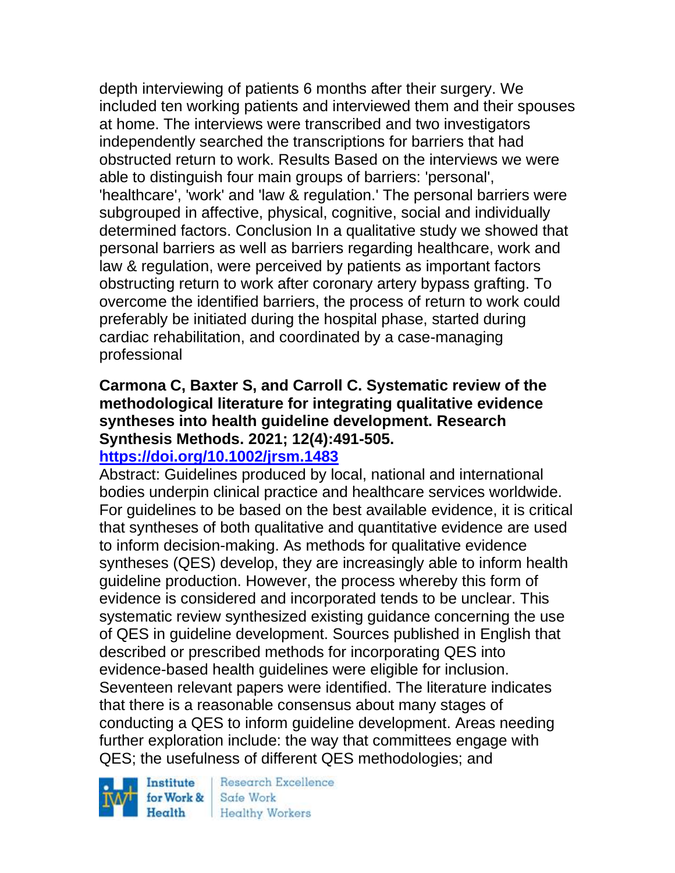depth interviewing of patients 6 months after their surgery. We included ten working patients and interviewed them and their spouses at home. The interviews were transcribed and two investigators independently searched the transcriptions for barriers that had obstructed return to work. Results Based on the interviews we were able to distinguish four main groups of barriers: 'personal', 'healthcare', 'work' and 'law & regulation.' The personal barriers were subgrouped in affective, physical, cognitive, social and individually determined factors. Conclusion In a qualitative study we showed that personal barriers as well as barriers regarding healthcare, work and law & regulation, were perceived by patients as important factors obstructing return to work after coronary artery bypass grafting. To overcome the identified barriers, the process of return to work could preferably be initiated during the hospital phase, started during cardiac rehabilitation, and coordinated by a case-managing professional

## **Carmona C, Baxter S, and Carroll C. Systematic review of the methodological literature for integrating qualitative evidence syntheses into health guideline development. Research Synthesis Methods. 2021; 12(4):491-505.**

#### **<https://doi.org/10.1002/jrsm.1483>**

Abstract: Guidelines produced by local, national and international bodies underpin clinical practice and healthcare services worldwide. For guidelines to be based on the best available evidence, it is critical that syntheses of both qualitative and quantitative evidence are used to inform decision-making. As methods for qualitative evidence syntheses (QES) develop, they are increasingly able to inform health guideline production. However, the process whereby this form of evidence is considered and incorporated tends to be unclear. This systematic review synthesized existing guidance concerning the use of QES in guideline development. Sources published in English that described or prescribed methods for incorporating QES into evidence-based health guidelines were eligible for inclusion. Seventeen relevant papers were identified. The literature indicates that there is a reasonable consensus about many stages of conducting a QES to inform guideline development. Areas needing further exploration include: the way that committees engage with QES; the usefulness of different QES methodologies; and

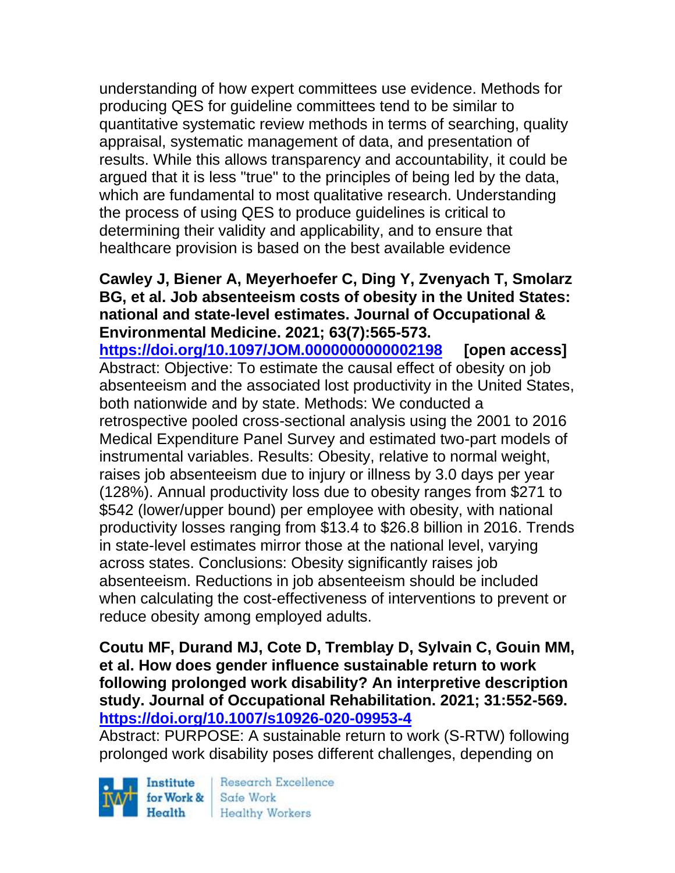understanding of how expert committees use evidence. Methods for producing QES for guideline committees tend to be similar to quantitative systematic review methods in terms of searching, quality appraisal, systematic management of data, and presentation of results. While this allows transparency and accountability, it could be argued that it is less "true" to the principles of being led by the data, which are fundamental to most qualitative research. Understanding the process of using QES to produce guidelines is critical to determining their validity and applicability, and to ensure that healthcare provision is based on the best available evidence

#### **Cawley J, Biener A, Meyerhoefer C, Ding Y, Zvenyach T, Smolarz BG, et al. Job absenteeism costs of obesity in the United States: national and state-level estimates. Journal of Occupational & Environmental Medicine. 2021; 63(7):565-573.**

**<https://doi.org/10.1097/JOM.0000000000002198> [open access]** Abstract: Objective: To estimate the causal effect of obesity on job absenteeism and the associated lost productivity in the United States, both nationwide and by state. Methods: We conducted a retrospective pooled cross-sectional analysis using the 2001 to 2016 Medical Expenditure Panel Survey and estimated two-part models of instrumental variables. Results: Obesity, relative to normal weight, raises job absenteeism due to injury or illness by 3.0 days per year (128%). Annual productivity loss due to obesity ranges from \$271 to \$542 (lower/upper bound) per employee with obesity, with national productivity losses ranging from \$13.4 to \$26.8 billion in 2016. Trends in state-level estimates mirror those at the national level, varying across states. Conclusions: Obesity significantly raises job absenteeism. Reductions in job absenteeism should be included when calculating the cost-effectiveness of interventions to prevent or reduce obesity among employed adults.

#### **Coutu MF, Durand MJ, Cote D, Tremblay D, Sylvain C, Gouin MM, et al. How does gender influence sustainable return to work following prolonged work disability? An interpretive description study. Journal of Occupational Rehabilitation. 2021; 31:552-569. <https://doi.org/10.1007/s10926-020-09953-4>**

Abstract: PURPOSE: A sustainable return to work (S-RTW) following prolonged work disability poses different challenges, depending on

Institute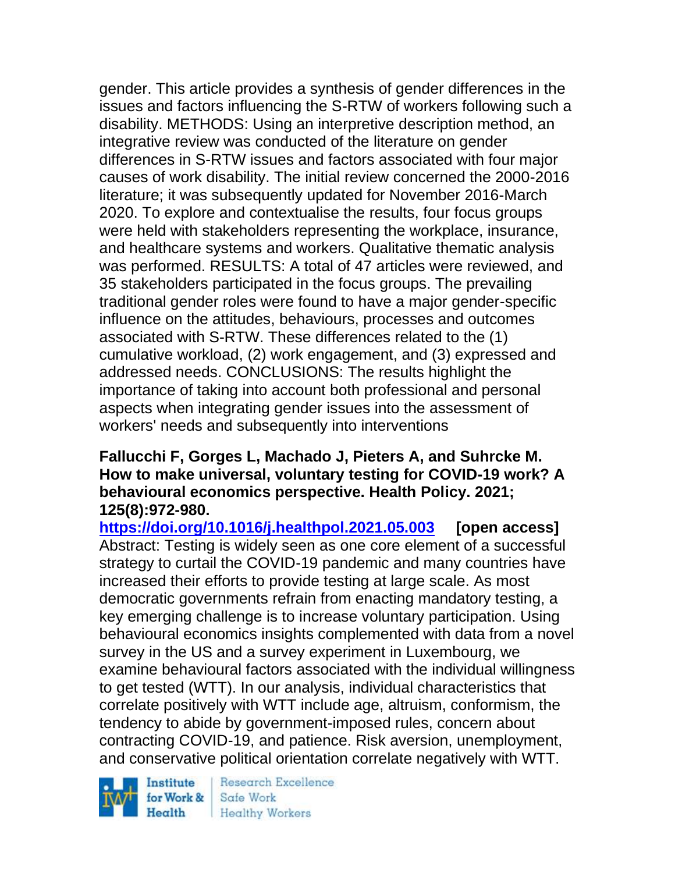gender. This article provides a synthesis of gender differences in the issues and factors influencing the S-RTW of workers following such a disability. METHODS: Using an interpretive description method, an integrative review was conducted of the literature on gender differences in S-RTW issues and factors associated with four major causes of work disability. The initial review concerned the 2000-2016 literature; it was subsequently updated for November 2016-March 2020. To explore and contextualise the results, four focus groups were held with stakeholders representing the workplace, insurance, and healthcare systems and workers. Qualitative thematic analysis was performed. RESULTS: A total of 47 articles were reviewed, and 35 stakeholders participated in the focus groups. The prevailing traditional gender roles were found to have a major gender-specific influence on the attitudes, behaviours, processes and outcomes associated with S-RTW. These differences related to the (1) cumulative workload, (2) work engagement, and (3) expressed and addressed needs. CONCLUSIONS: The results highlight the importance of taking into account both professional and personal aspects when integrating gender issues into the assessment of workers' needs and subsequently into interventions

#### **Fallucchi F, Gorges L, Machado J, Pieters A, and Suhrcke M. How to make universal, voluntary testing for COVID-19 work? A behavioural economics perspective. Health Policy. 2021; 125(8):972-980.**

**<https://doi.org/10.1016/j.healthpol.2021.05.003> [open access]** Abstract: Testing is widely seen as one core element of a successful strategy to curtail the COVID-19 pandemic and many countries have increased their efforts to provide testing at large scale. As most democratic governments refrain from enacting mandatory testing, a key emerging challenge is to increase voluntary participation. Using behavioural economics insights complemented with data from a novel survey in the US and a survey experiment in Luxembourg, we examine behavioural factors associated with the individual willingness to get tested (WTT). In our analysis, individual characteristics that correlate positively with WTT include age, altruism, conformism, the tendency to abide by government-imposed rules, concern about contracting COVID-19, and patience. Risk aversion, unemployment, and conservative political orientation correlate negatively with WTT.

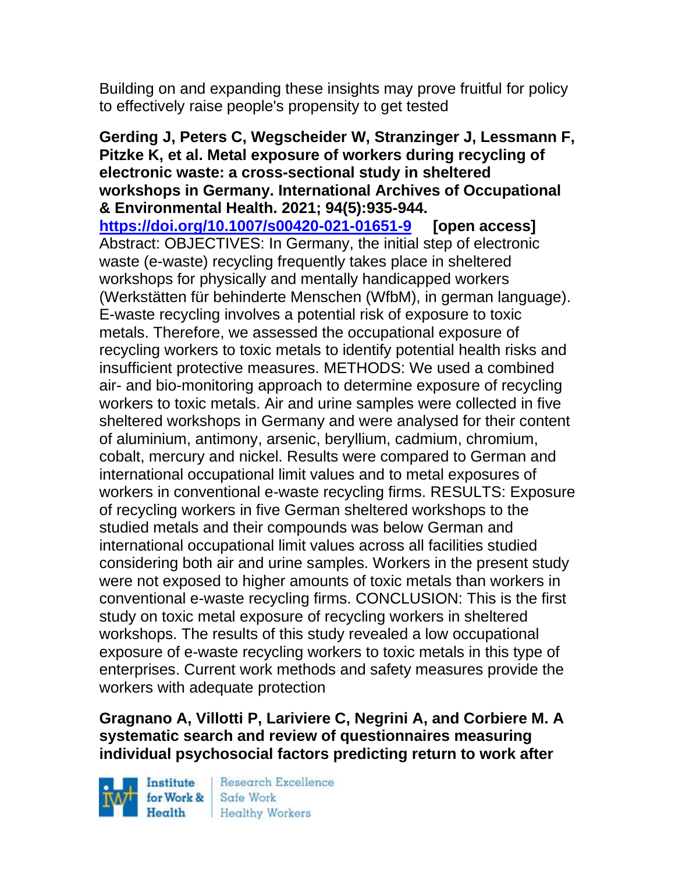Building on and expanding these insights may prove fruitful for policy to effectively raise people's propensity to get tested

**Gerding J, Peters C, Wegscheider W, Stranzinger J, Lessmann F, Pitzke K, et al. Metal exposure of workers during recycling of electronic waste: a cross-sectional study in sheltered workshops in Germany. International Archives of Occupational & Environmental Health. 2021; 94(5):935-944. <https://doi.org/10.1007/s00420-021-01651-9> [open access]** Abstract: OBJECTIVES: In Germany, the initial step of electronic waste (e-waste) recycling frequently takes place in sheltered workshops for physically and mentally handicapped workers (Werkstätten für behinderte Menschen (WfbM), in german language). E-waste recycling involves a potential risk of exposure to toxic metals. Therefore, we assessed the occupational exposure of recycling workers to toxic metals to identify potential health risks and insufficient protective measures. METHODS: We used a combined air- and bio-monitoring approach to determine exposure of recycling workers to toxic metals. Air and urine samples were collected in five sheltered workshops in Germany and were analysed for their content of aluminium, antimony, arsenic, beryllium, cadmium, chromium, cobalt, mercury and nickel. Results were compared to German and international occupational limit values and to metal exposures of workers in conventional e-waste recycling firms. RESULTS: Exposure of recycling workers in five German sheltered workshops to the studied metals and their compounds was below German and international occupational limit values across all facilities studied considering both air and urine samples. Workers in the present study were not exposed to higher amounts of toxic metals than workers in conventional e-waste recycling firms. CONCLUSION: This is the first study on toxic metal exposure of recycling workers in sheltered workshops. The results of this study revealed a low occupational exposure of e-waste recycling workers to toxic metals in this type of enterprises. Current work methods and safety measures provide the workers with adequate protection

**Gragnano A, Villotti P, Lariviere C, Negrini A, and Corbiere M. A systematic search and review of questionnaires measuring individual psychosocial factors predicting return to work after** 

Institute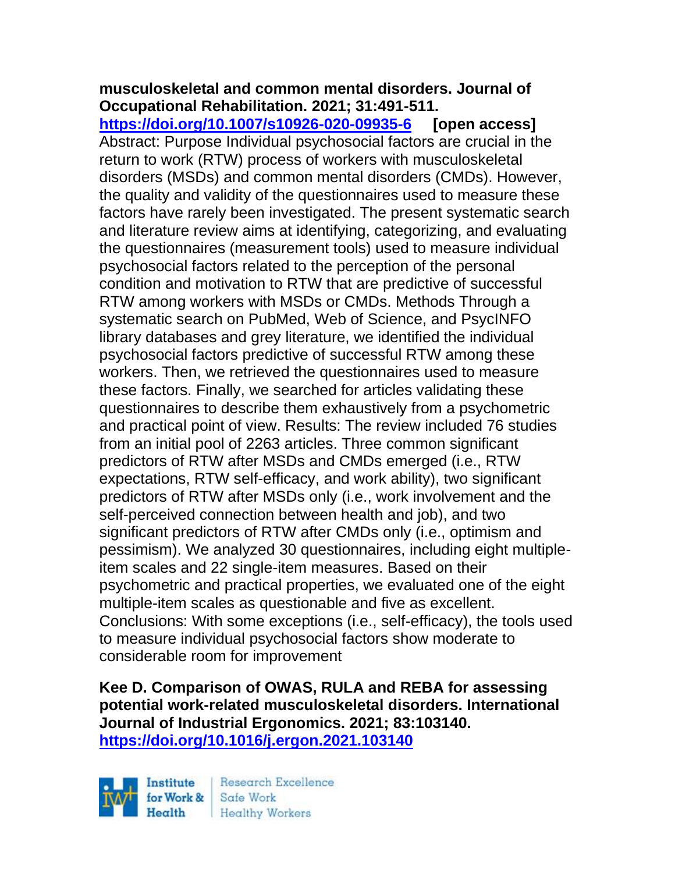## **musculoskeletal and common mental disorders. Journal of Occupational Rehabilitation. 2021; 31:491-511.**

**<https://doi.org/10.1007/s10926-020-09935-6> [open access]** Abstract: Purpose Individual psychosocial factors are crucial in the return to work (RTW) process of workers with musculoskeletal disorders (MSDs) and common mental disorders (CMDs). However, the quality and validity of the questionnaires used to measure these factors have rarely been investigated. The present systematic search and literature review aims at identifying, categorizing, and evaluating the questionnaires (measurement tools) used to measure individual psychosocial factors related to the perception of the personal condition and motivation to RTW that are predictive of successful RTW among workers with MSDs or CMDs. Methods Through a systematic search on PubMed, Web of Science, and PsycINFO library databases and grey literature, we identified the individual psychosocial factors predictive of successful RTW among these workers. Then, we retrieved the questionnaires used to measure these factors. Finally, we searched for articles validating these questionnaires to describe them exhaustively from a psychometric and practical point of view. Results: The review included 76 studies from an initial pool of 2263 articles. Three common significant predictors of RTW after MSDs and CMDs emerged (i.e., RTW expectations, RTW self-efficacy, and work ability), two significant predictors of RTW after MSDs only (i.e., work involvement and the self-perceived connection between health and job), and two significant predictors of RTW after CMDs only (i.e., optimism and pessimism). We analyzed 30 questionnaires, including eight multipleitem scales and 22 single-item measures. Based on their psychometric and practical properties, we evaluated one of the eight multiple-item scales as questionable and five as excellent. Conclusions: With some exceptions (i.e., self-efficacy), the tools used to measure individual psychosocial factors show moderate to considerable room for improvement

**Kee D. Comparison of OWAS, RULA and REBA for assessing potential work-related musculoskeletal disorders. International Journal of Industrial Ergonomics. 2021; 83:103140. <https://doi.org/10.1016/j.ergon.2021.103140>** 

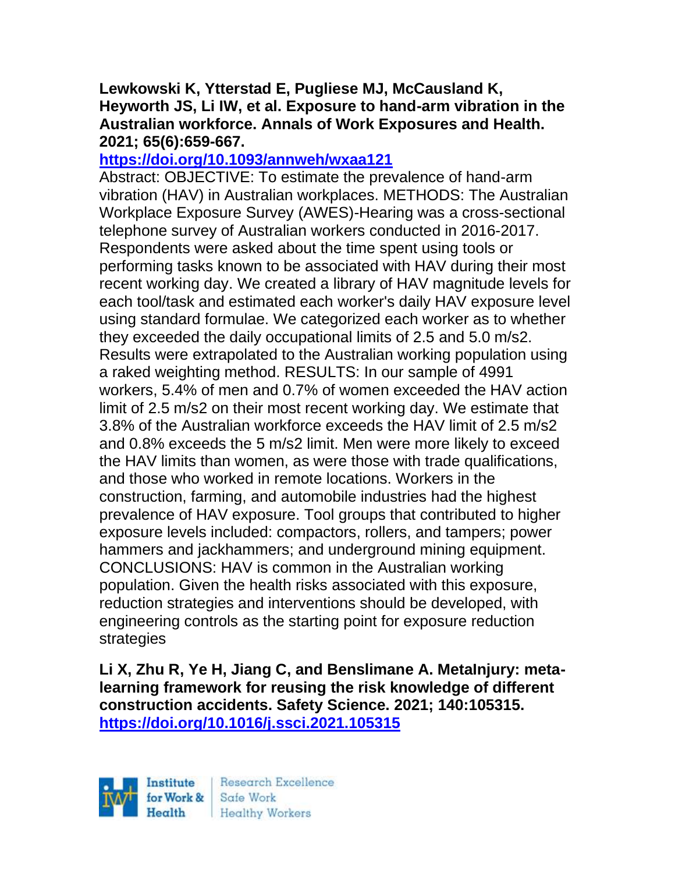#### **Lewkowski K, Ytterstad E, Pugliese MJ, McCausland K, Heyworth JS, Li IW, et al. Exposure to hand-arm vibration in the Australian workforce. Annals of Work Exposures and Health. 2021; 65(6):659-667.**

## **<https://doi.org/10.1093/annweh/wxaa121>**

Abstract: OBJECTIVE: To estimate the prevalence of hand-arm vibration (HAV) in Australian workplaces. METHODS: The Australian Workplace Exposure Survey (AWES)-Hearing was a cross-sectional telephone survey of Australian workers conducted in 2016-2017. Respondents were asked about the time spent using tools or performing tasks known to be associated with HAV during their most recent working day. We created a library of HAV magnitude levels for each tool/task and estimated each worker's daily HAV exposure level using standard formulae. We categorized each worker as to whether they exceeded the daily occupational limits of 2.5 and 5.0 m/s2. Results were extrapolated to the Australian working population using a raked weighting method. RESULTS: In our sample of 4991 workers, 5.4% of men and 0.7% of women exceeded the HAV action limit of 2.5 m/s2 on their most recent working day. We estimate that 3.8% of the Australian workforce exceeds the HAV limit of 2.5 m/s2 and 0.8% exceeds the 5 m/s2 limit. Men were more likely to exceed the HAV limits than women, as were those with trade qualifications, and those who worked in remote locations. Workers in the construction, farming, and automobile industries had the highest prevalence of HAV exposure. Tool groups that contributed to higher exposure levels included: compactors, rollers, and tampers; power hammers and jackhammers; and underground mining equipment. CONCLUSIONS: HAV is common in the Australian working population. Given the health risks associated with this exposure, reduction strategies and interventions should be developed, with engineering controls as the starting point for exposure reduction strategies

**Li X, Zhu R, Ye H, Jiang C, and Benslimane A. MetaInjury: metalearning framework for reusing the risk knowledge of different construction accidents. Safety Science. 2021; 140:105315. <https://doi.org/10.1016/j.ssci.2021.105315>** 

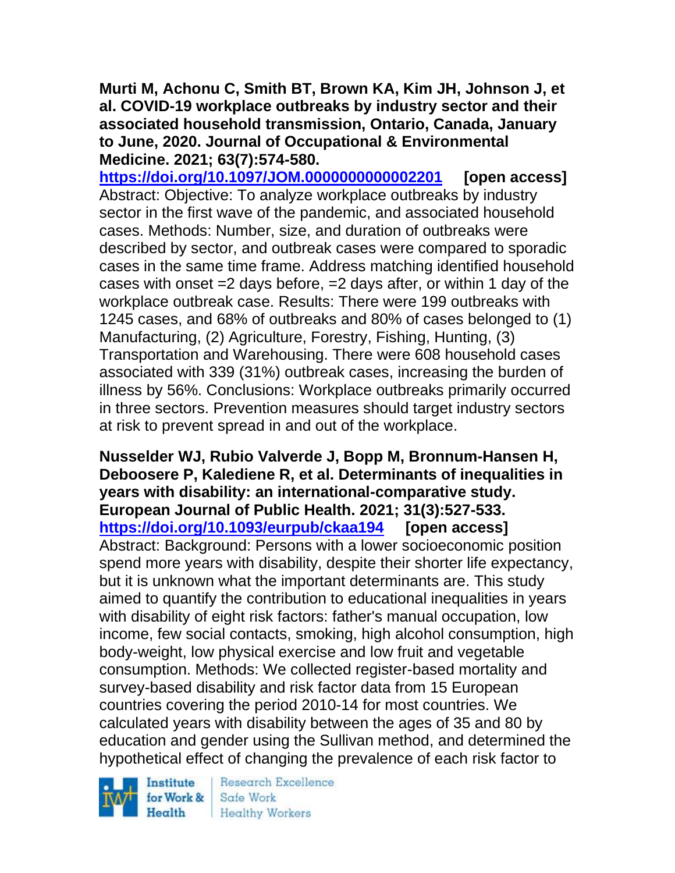**Murti M, Achonu C, Smith BT, Brown KA, Kim JH, Johnson J, et al. COVID-19 workplace outbreaks by industry sector and their associated household transmission, Ontario, Canada, January to June, 2020. Journal of Occupational & Environmental Medicine. 2021; 63(7):574-580.** 

**<https://doi.org/10.1097/JOM.0000000000002201> [open access]** Abstract: Objective: To analyze workplace outbreaks by industry sector in the first wave of the pandemic, and associated household cases. Methods: Number, size, and duration of outbreaks were described by sector, and outbreak cases were compared to sporadic cases in the same time frame. Address matching identified household cases with onset  $=2$  days before,  $=2$  days after, or within 1 day of the workplace outbreak case. Results: There were 199 outbreaks with 1245 cases, and 68% of outbreaks and 80% of cases belonged to (1) Manufacturing, (2) Agriculture, Forestry, Fishing, Hunting, (3) Transportation and Warehousing. There were 608 household cases associated with 339 (31%) outbreak cases, increasing the burden of illness by 56%. Conclusions: Workplace outbreaks primarily occurred in three sectors. Prevention measures should target industry sectors at risk to prevent spread in and out of the workplace.

**Nusselder WJ, Rubio Valverde J, Bopp M, Bronnum-Hansen H, Deboosere P, Kalediene R, et al. Determinants of inequalities in years with disability: an international-comparative study. European Journal of Public Health. 2021; 31(3):527-533. <https://doi.org/10.1093/eurpub/ckaa194> [open access]** Abstract: Background: Persons with a lower socioeconomic position spend more years with disability, despite their shorter life expectancy, but it is unknown what the important determinants are. This study aimed to quantify the contribution to educational inequalities in years with disability of eight risk factors: father's manual occupation, low income, few social contacts, smoking, high alcohol consumption, high body-weight, low physical exercise and low fruit and vegetable consumption. Methods: We collected register-based mortality and survey-based disability and risk factor data from 15 European countries covering the period 2010-14 for most countries. We calculated years with disability between the ages of 35 and 80 by education and gender using the Sullivan method, and determined the hypothetical effect of changing the prevalence of each risk factor to

Institute for Work & Health

**Research Excellence** Safe Work **Healthy Workers**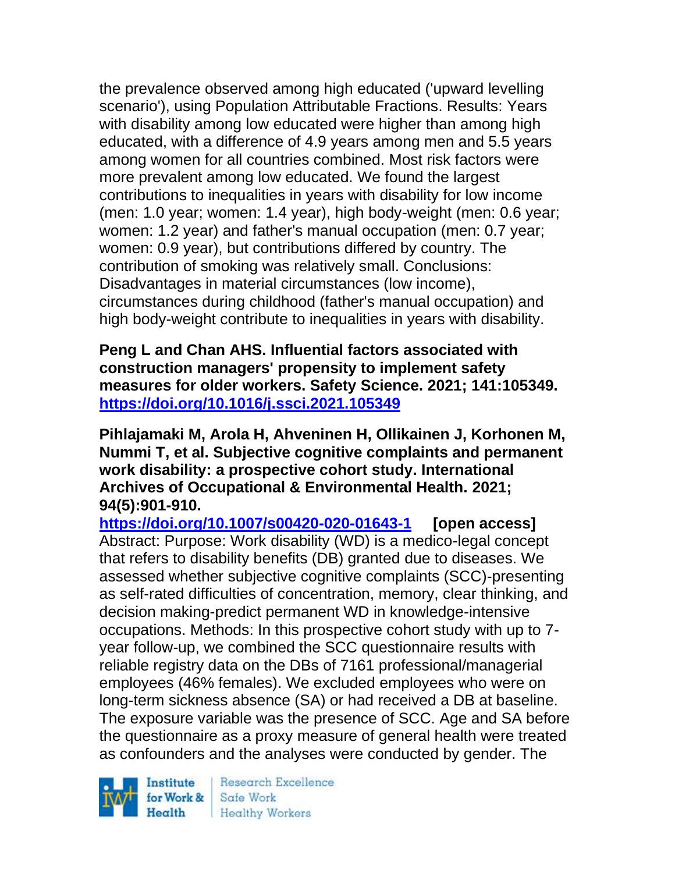the prevalence observed among high educated ('upward levelling scenario'), using Population Attributable Fractions. Results: Years with disability among low educated were higher than among high educated, with a difference of 4.9 years among men and 5.5 years among women for all countries combined. Most risk factors were more prevalent among low educated. We found the largest contributions to inequalities in years with disability for low income (men: 1.0 year; women: 1.4 year), high body-weight (men: 0.6 year; women: 1.2 year) and father's manual occupation (men: 0.7 year; women: 0.9 year), but contributions differed by country. The contribution of smoking was relatively small. Conclusions: Disadvantages in material circumstances (low income), circumstances during childhood (father's manual occupation) and high body-weight contribute to inequalities in years with disability.

**Peng L and Chan AHS. Influential factors associated with construction managers' propensity to implement safety measures for older workers. Safety Science. 2021; 141:105349. <https://doi.org/10.1016/j.ssci.2021.105349>** 

**Pihlajamaki M, Arola H, Ahveninen H, Ollikainen J, Korhonen M, Nummi T, et al. Subjective cognitive complaints and permanent work disability: a prospective cohort study. International Archives of Occupational & Environmental Health. 2021; 94(5):901-910.** 

**<https://doi.org/10.1007/s00420-020-01643-1> [open access]** Abstract: Purpose: Work disability (WD) is a medico-legal concept that refers to disability benefits (DB) granted due to diseases. We assessed whether subjective cognitive complaints (SCC)-presenting as self-rated difficulties of concentration, memory, clear thinking, and decision making-predict permanent WD in knowledge-intensive occupations. Methods: In this prospective cohort study with up to 7 year follow-up, we combined the SCC questionnaire results with reliable registry data on the DBs of 7161 professional/managerial employees (46% females). We excluded employees who were on long-term sickness absence (SA) or had received a DB at baseline. The exposure variable was the presence of SCC. Age and SA before the questionnaire as a proxy measure of general health were treated as confounders and the analyses were conducted by gender. The

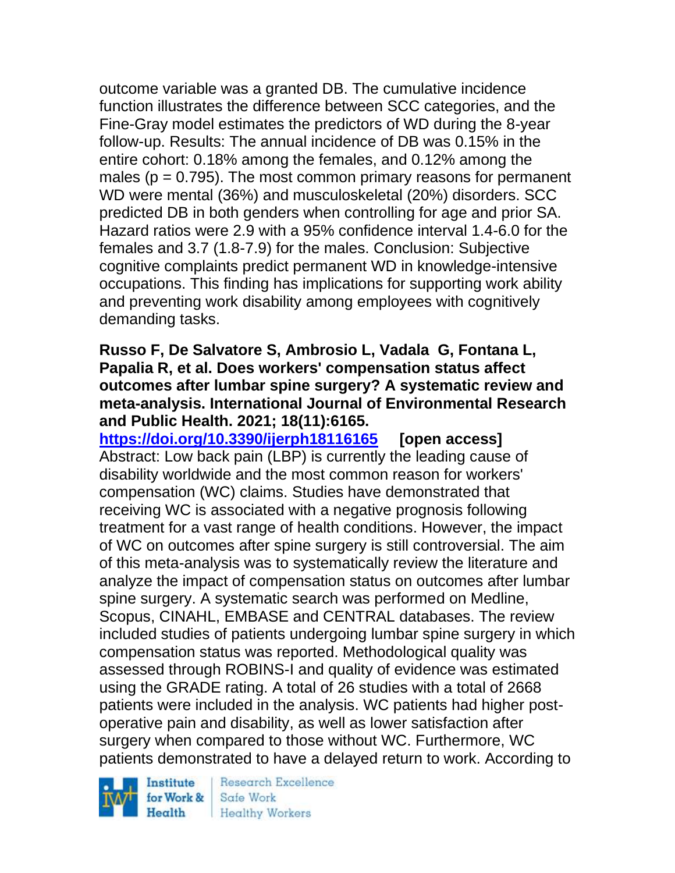outcome variable was a granted DB. The cumulative incidence function illustrates the difference between SCC categories, and the Fine-Gray model estimates the predictors of WD during the 8-year follow-up. Results: The annual incidence of DB was 0.15% in the entire cohort: 0.18% among the females, and 0.12% among the males ( $p = 0.795$ ). The most common primary reasons for permanent WD were mental (36%) and musculoskeletal (20%) disorders. SCC predicted DB in both genders when controlling for age and prior SA. Hazard ratios were 2.9 with a 95% confidence interval 1.4-6.0 for the females and 3.7 (1.8-7.9) for the males. Conclusion: Subjective cognitive complaints predict permanent WD in knowledge-intensive occupations. This finding has implications for supporting work ability and preventing work disability among employees with cognitively demanding tasks.

#### **Russo F, De Salvatore S, Ambrosio L, Vadala G, Fontana L, Papalia R, et al. Does workers' compensation status affect outcomes after lumbar spine surgery? A systematic review and meta-analysis. International Journal of Environmental Research and Public Health. 2021; 18(11):6165.**

**<https://doi.org/10.3390/ijerph18116165> [open access]** Abstract: Low back pain (LBP) is currently the leading cause of disability worldwide and the most common reason for workers' compensation (WC) claims. Studies have demonstrated that receiving WC is associated with a negative prognosis following treatment for a vast range of health conditions. However, the impact of WC on outcomes after spine surgery is still controversial. The aim of this meta-analysis was to systematically review the literature and analyze the impact of compensation status on outcomes after lumbar spine surgery. A systematic search was performed on Medline, Scopus, CINAHL, EMBASE and CENTRAL databases. The review included studies of patients undergoing lumbar spine surgery in which compensation status was reported. Methodological quality was assessed through ROBINS-I and quality of evidence was estimated using the GRADE rating. A total of 26 studies with a total of 2668 patients were included in the analysis. WC patients had higher postoperative pain and disability, as well as lower satisfaction after surgery when compared to those without WC. Furthermore, WC patients demonstrated to have a delayed return to work. According to

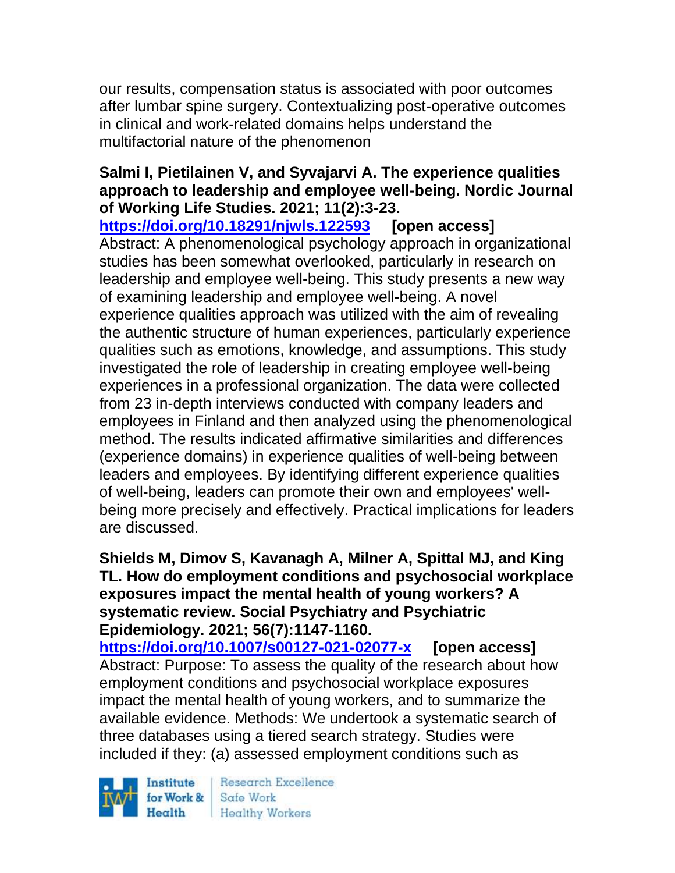our results, compensation status is associated with poor outcomes after lumbar spine surgery. Contextualizing post-operative outcomes in clinical and work-related domains helps understand the multifactorial nature of the phenomenon

## **Salmi I, Pietilainen V, and Syvajarvi A. The experience qualities approach to leadership and employee well-being. Nordic Journal of Working Life Studies. 2021; 11(2):3-23.**

**<https://doi.org/10.18291/njwls.122593> [open access]** Abstract: A phenomenological psychology approach in organizational studies has been somewhat overlooked, particularly in research on leadership and employee well-being. This study presents a new way of examining leadership and employee well-being. A novel experience qualities approach was utilized with the aim of revealing the authentic structure of human experiences, particularly experience qualities such as emotions, knowledge, and assumptions. This study investigated the role of leadership in creating employee well-being experiences in a professional organization. The data were collected from 23 in-depth interviews conducted with company leaders and employees in Finland and then analyzed using the phenomenological method. The results indicated affirmative similarities and differences (experience domains) in experience qualities of well-being between leaders and employees. By identifying different experience qualities of well-being, leaders can promote their own and employees' wellbeing more precisely and effectively. Practical implications for leaders are discussed.

#### **Shields M, Dimov S, Kavanagh A, Milner A, Spittal MJ, and King TL. How do employment conditions and psychosocial workplace exposures impact the mental health of young workers? A systematic review. Social Psychiatry and Psychiatric Epidemiology. 2021; 56(7):1147-1160.**

**<https://doi.org/10.1007/s00127-021-02077-x> [open access]** Abstract: Purpose: To assess the quality of the research about how employment conditions and psychosocial workplace exposures impact the mental health of young workers, and to summarize the available evidence. Methods: We undertook a systematic search of three databases using a tiered search strategy. Studies were included if they: (a) assessed employment conditions such as

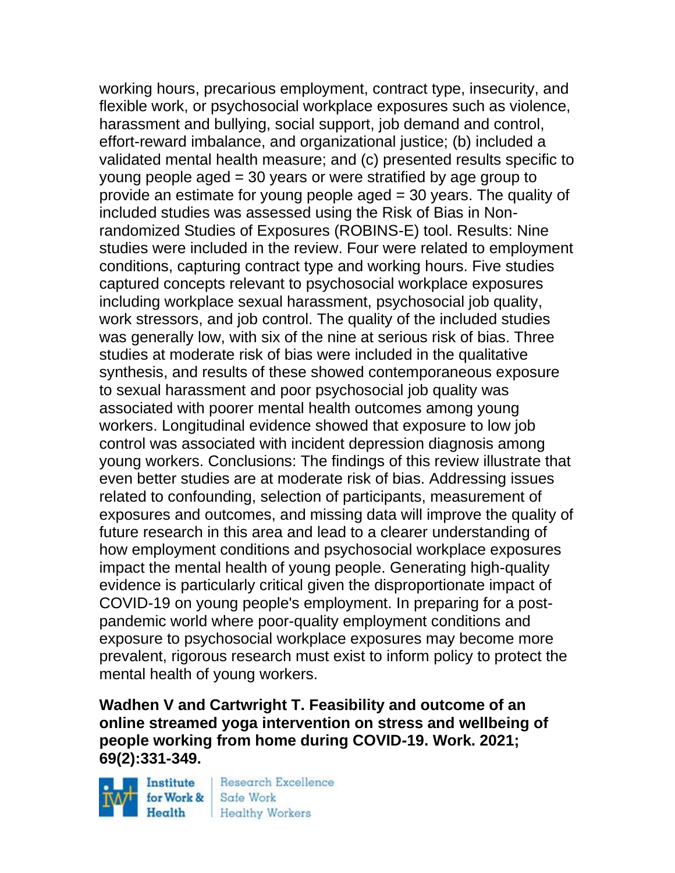working hours, precarious employment, contract type, insecurity, and flexible work, or psychosocial workplace exposures such as violence, harassment and bullying, social support, job demand and control, effort-reward imbalance, and organizational justice; (b) included a validated mental health measure; and (c) presented results specific to young people aged = 30 years or were stratified by age group to provide an estimate for young people aged = 30 years. The quality of included studies was assessed using the Risk of Bias in Nonrandomized Studies of Exposures (ROBINS-E) tool. Results: Nine studies were included in the review. Four were related to employment conditions, capturing contract type and working hours. Five studies captured concepts relevant to psychosocial workplace exposures including workplace sexual harassment, psychosocial job quality, work stressors, and job control. The quality of the included studies was generally low, with six of the nine at serious risk of bias. Three studies at moderate risk of bias were included in the qualitative synthesis, and results of these showed contemporaneous exposure to sexual harassment and poor psychosocial job quality was associated with poorer mental health outcomes among young workers. Longitudinal evidence showed that exposure to low job control was associated with incident depression diagnosis among young workers. Conclusions: The findings of this review illustrate that even better studies are at moderate risk of bias. Addressing issues related to confounding, selection of participants, measurement of exposures and outcomes, and missing data will improve the quality of future research in this area and lead to a clearer understanding of how employment conditions and psychosocial workplace exposures impact the mental health of young people. Generating high-quality evidence is particularly critical given the disproportionate impact of COVID-19 on young people's employment. In preparing for a postpandemic world where poor-quality employment conditions and exposure to psychosocial workplace exposures may become more prevalent, rigorous research must exist to inform policy to protect the mental health of young workers.

**Wadhen V and Cartwright T. Feasibility and outcome of an online streamed yoga intervention on stress and wellbeing of people working from home during COVID-19. Work. 2021; 69(2):331-349.** 

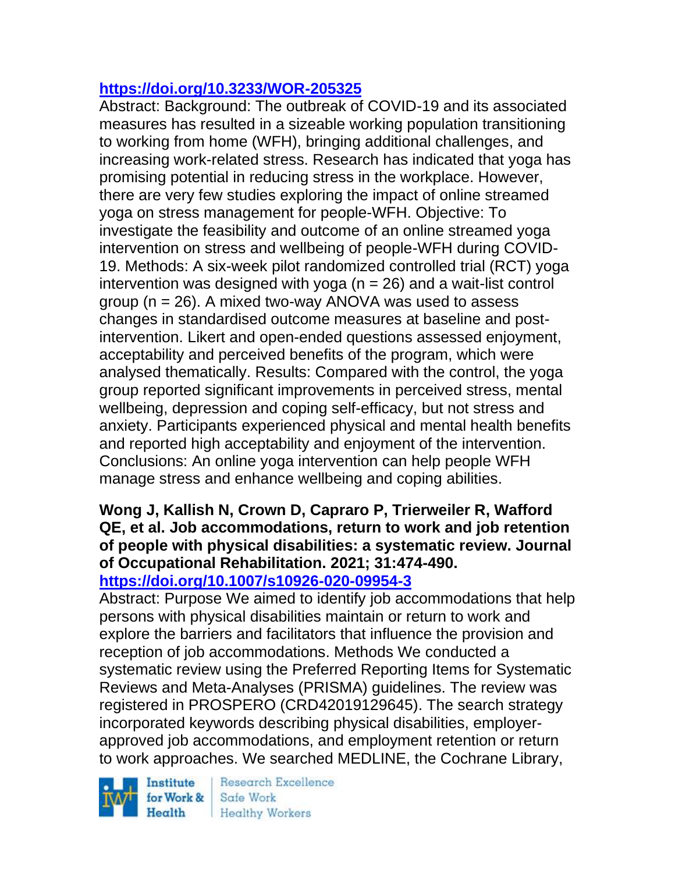# **<https://doi.org/10.3233/WOR-205325>**

Abstract: Background: The outbreak of COVID-19 and its associated measures has resulted in a sizeable working population transitioning to working from home (WFH), bringing additional challenges, and increasing work-related stress. Research has indicated that yoga has promising potential in reducing stress in the workplace. However, there are very few studies exploring the impact of online streamed yoga on stress management for people-WFH. Objective: To investigate the feasibility and outcome of an online streamed yoga intervention on stress and wellbeing of people-WFH during COVID-19. Methods: A six-week pilot randomized controlled trial (RCT) yoga intervention was designed with yoga ( $n = 26$ ) and a wait-list control group ( $n = 26$ ). A mixed two-way ANOVA was used to assess changes in standardised outcome measures at baseline and postintervention. Likert and open-ended questions assessed enjoyment, acceptability and perceived benefits of the program, which were analysed thematically. Results: Compared with the control, the yoga group reported significant improvements in perceived stress, mental wellbeing, depression and coping self-efficacy, but not stress and anxiety. Participants experienced physical and mental health benefits and reported high acceptability and enjoyment of the intervention. Conclusions: An online yoga intervention can help people WFH manage stress and enhance wellbeing and coping abilities.

#### **Wong J, Kallish N, Crown D, Capraro P, Trierweiler R, Wafford QE, et al. Job accommodations, return to work and job retention of people with physical disabilities: a systematic review. Journal of Occupational Rehabilitation. 2021; 31:474-490. <https://doi.org/10.1007/s10926-020-09954-3>**

Abstract: Purpose We aimed to identify job accommodations that help persons with physical disabilities maintain or return to work and explore the barriers and facilitators that influence the provision and reception of job accommodations. Methods We conducted a systematic review using the Preferred Reporting Items for Systematic Reviews and Meta-Analyses (PRISMA) guidelines. The review was registered in PROSPERO (CRD42019129645). The search strategy incorporated keywords describing physical disabilities, employerapproved job accommodations, and employment retention or return to work approaches. We searched MEDLINE, the Cochrane Library,

Institute